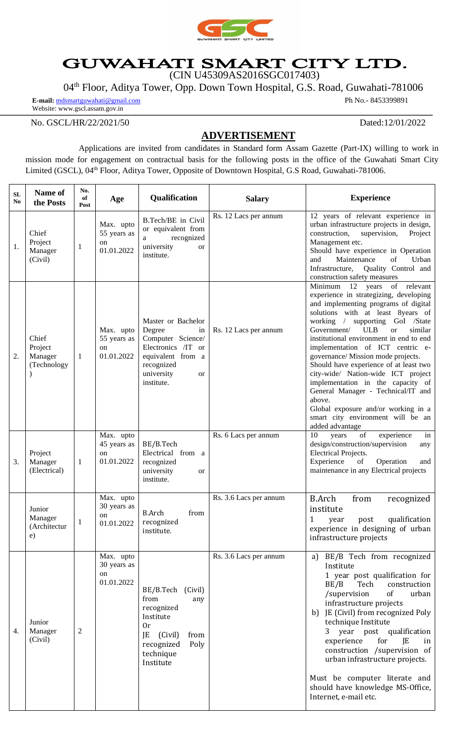

## **GUWAHATI SMART CITY LTD.**<br>(CIN U45309AS2016SGC017403)

04th Floor, Aditya Tower, Opp. Down Town Hospital, G.S. Road, Guwahati-781006

**E-mail:** [mdsmartguwahati@gmail.com](mailto:mdsmartguwahati@gmail.com) Website: www.gscl.assam.gov.in

Ph No.- 8453399891

No. GSCL/HR/22/2021/50 Dated:12/01/2022

## **ADVERTISEMENT**

Applications are invited from candidates in Standard form Assam Gazette (Part-IX) willing to work in mission mode for engagement on contractual basis for the following posts in the office of the Guwahati Smart City Limited (GSCL), 04<sup>th</sup> Floor, Aditya Tower, Opposite of Downtown Hospital, G.S Road, Guwahati-781006.

| SL<br>No | Name of<br>the Posts                              | No.<br>of<br>Post | Age                                          | Qualification                                                                                                                                             | <b>Salary</b>          | <b>Experience</b>                                                                                                                                                                                                                                                                                                                                                                                                                                                                                                                                                                                                                        |
|----------|---------------------------------------------------|-------------------|----------------------------------------------|-----------------------------------------------------------------------------------------------------------------------------------------------------------|------------------------|------------------------------------------------------------------------------------------------------------------------------------------------------------------------------------------------------------------------------------------------------------------------------------------------------------------------------------------------------------------------------------------------------------------------------------------------------------------------------------------------------------------------------------------------------------------------------------------------------------------------------------------|
| 1.       | Chief<br>Project<br>Manager<br>(Civil)            | $\mathbf{1}$      | Max. upto<br>55 years as<br>on<br>01.01.2022 | B.Tech/BE in Civil<br>or equivalent from<br>recognized<br>a<br>university<br><b>or</b><br>institute.                                                      | Rs. 12 Lacs per annum  | 12 years of relevant experience in<br>urban infrastructure projects in design,<br>construction,<br>supervision,<br>Project<br>Management etc.<br>Should have experience in Operation<br>Maintenance<br>of<br>Urban<br>and<br>Infrastructure, Quality Control and<br>construction safety measures                                                                                                                                                                                                                                                                                                                                         |
| 2.       | Chief<br>Project<br>Manager<br>(Technology        | -1                | Max. upto<br>55 years as<br>on<br>01.01.2022 | Master or Bachelor<br>Degree<br>in<br>Computer Science/<br>Electronics /IT or<br>equivalent from a<br>recognized<br>university<br><b>or</b><br>institute. | Rs. 12 Lacs per annum  | Minimum 12 years of relevant<br>experience in strategizing, developing<br>and implementing programs of digital<br>solutions with at least 8years of<br>working / supporting GoI /State<br>Government/<br><b>ULB</b><br>similar<br><sub>or</sub><br>institutional environment in end to end<br>implementation of ICT centric e-<br>governance/ Mission mode projects.<br>Should have experience of at least two<br>city-wide/ Nation-wide ICT project<br>implementation in the capacity of<br>General Manager - Technical/IT and<br>above.<br>Global exposure and/or working in a<br>smart city environment will be an<br>added advantage |
| 3.       | Project<br>Manager<br>(Electrical)                | 1                 | Max. upto<br>45 years as<br>on<br>01.01.2022 | BE/B.Tech<br>Electrical from a<br>recognized<br>university<br><b>or</b><br>institute.                                                                     | Rs. 6 Lacs per annum   | 10<br>of<br>years<br>experience<br>in<br>design/construction/supervision<br>any<br>Electrical Projects.<br>Experience<br>of<br>Operation<br>and<br>maintenance in any Electrical projects                                                                                                                                                                                                                                                                                                                                                                                                                                                |
|          | Junior<br>Manager<br>(Architectur<br>$\epsilon$ ) | 1                 | Max. upto<br>30 years as<br>on<br>01.01.2022 | <b>B.Arch</b><br>from<br>recognized<br>institute.                                                                                                         | Rs. 3.6 Lacs per annum | <b>B.Arch</b><br>from<br>recognized<br>institute<br>1<br>qualification<br>year<br>post<br>experience in designing of urban<br>infrastructure projects                                                                                                                                                                                                                                                                                                                                                                                                                                                                                    |
| 4.       | Junior<br>Manager<br>(Civil)                      | 2                 | Max. upto<br>30 years as<br>on<br>01.01.2022 | BE/B.Tech (Civil)<br>from<br>any<br>recognized<br>Institute<br>0r<br>JE<br>(Civil)<br>from<br>recognized<br>Poly<br>technique<br>Institute                | Rs. 3.6 Lacs per annum | a) BE/B Tech from recognized<br>Institute<br>1 year post qualification for<br>BE/B<br>Tech<br>construction<br>/supervision<br>of<br>urban<br>infrastructure projects<br>b) JE (Civil) from recognized Poly<br>technique Institute<br>year post qualification<br>3<br>experience<br>for<br>JE<br>in<br>construction /supervision of<br>urban infrastructure projects.<br>Must be computer literate and<br>should have knowledge MS-Office,<br>Internet, e-mail etc.                                                                                                                                                                       |